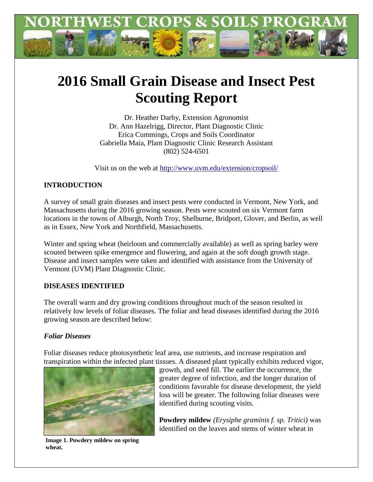

# **2016 Small Grain Disease and Insect Pest Scouting Report**

Dr. Heather Darby, Extension Agronomist Dr. Ann Hazelrigg, Director, Plant Diagnostic Clinic Erica Cummings, Crops and Soils Coordinator Gabriella Maia, Plant Diagnostic Clinic Research Assistant (802) 524-6501

Visit us on the web at<http://www.uvm.edu/extension/cropsoil/>

# **INTRODUCTION**

A survey of small grain diseases and insect pests were conducted in Vermont, New York, and Massachusetts during the 2016 growing season. Pests were scouted on six Vermont farm locations in the towns of Alburgh, North Troy, Shelburne, Bridport, Glover, and Berlin, as well as in Essex, New York and Northfield, Massachusetts.

Winter and spring wheat (heirloom and commercially available) as well as spring barley were scouted between spike emergence and flowering, and again at the soft dough growth stage. Disease and insect samples were taken and identified with assistance from the University of Vermont (UVM) Plant Diagnostic Clinic.

# **DISEASES IDENTIFIED**

The overall warm and dry growing conditions throughout much of the season resulted in relatively low levels of foliar diseases. The foliar and head diseases identified during the 2016 growing season are described below:

## *Foliar Diseases*

Foliar diseases reduce photosynthetic leaf area, use nutrients, and increase respiration and transpiration within the infected plant tissues. A diseased plant typically exhibits reduced vigor,



growth, and seed fill. The earlier the occurrence, the greater degree of infection, and the longer duration of conditions favorable for disease development, the yield loss will be greater. The following foliar diseases were identified during scouting visits.

**Powdery mildew** *(Erysiphe graminis f. sp. Tritici)* was identified on the leaves and stems of winter wheat in

**Image 1. Powdery mildew on spring wheat.**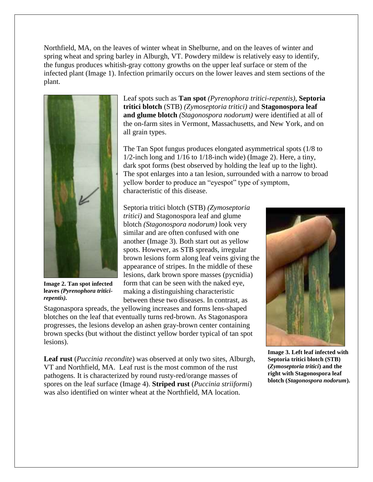Northfield, MA, on the leaves of winter wheat in Shelburne, and on the leaves of winter and spring wheat and spring barley in Alburgh, VT. Powdery mildew is relatively easy to identify, the fungus produces whitish-gray cottony growths on the upper leaf surface or stem of the infected plant (Image 1). Infection primarily occurs on the lower leaves and stem sections of the plant.



**Image 2. Tan spot infected leaves** *(Pyrenophora triticirepentis).*

Leaf spots such as **Tan spot** *(Pyrenophora tritici-repentis),* **Septoria tritici blotch** (STB) *(Zymoseptoria tritici)* and **Stagonospora leaf and glume blotch** *(Stagonospora nodorum)* were identified at all of the on-farm sites in Vermont, Massachusetts, and New York, and on all grain types.

The Tan Spot fungus produces elongated asymmetrical spots (1/8 to 1/2-inch long and 1/16 to 1/18-inch wide) (Image 2). Here, a tiny, dark spot forms (best observed by holding the leaf up to the light). The spot enlarges into a tan lesion, surrounded with a narrow to broad yellow border to produce an "eyespot" type of symptom, characteristic of this disease.

Septoria tritici blotch (STB) *(Zymoseptoria tritici)* and Stagonospora leaf and glume blotch *(Stagonospora nodorum)* look very similar and are often confused with one another (Image 3). Both start out as yellow spots. However, as STB spreads, irregular brown lesions form along leaf veins giving the appearance of stripes. In the middle of these lesions, dark brown spore masses (pycnidia) form that can be seen with the naked eye, making a distinguishing characteristic between these two diseases. In contrast, as

Stagonaspora spreads, the yellowing increases and forms lens-shaped blotches on the leaf that eventually turns red-brown. As Stagonaspora progresses, the lesions develop an ashen gray-brown center containing brown specks (but without the distinct yellow border typical of tan spot lesions).

**Leaf rust** (*Puccinia recondite*) was observed at only two sites, Alburgh, VT and Northfield, MA. Leaf rust is the most common of the rust pathogens. It is characterized by round rusty-red/orange masses of spores on the leaf surface (Image 4). **Striped rust** (*Puccinia striiformi*) was also identified on winter wheat at the Northfield, MA location.



**Image 3. Left leaf infected with Septoria tritici blotch (STB) (***Zymoseptoria tritici***) and the right with Stagonospora leaf blotch (***Stagonospora nodorum***).**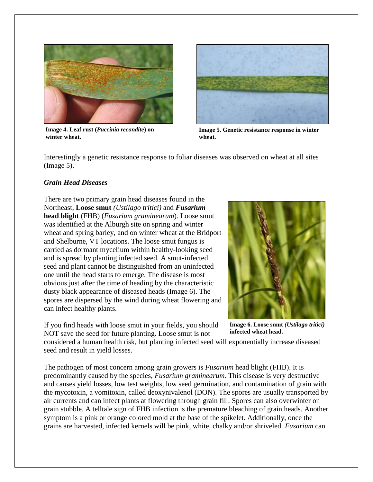

**Image 4. Leaf rust (***Puccinia recondite***) on winter wheat.**



**Image 5. Genetic resistance response in winter wheat.** 

Interestingly a genetic resistance response to foliar diseases was observed on wheat at all sites (Image 5).

#### *Grain Head Diseases*

There are two primary grain head diseases found in the Northeast, **Loose smut** *(Ustilago tritici)* and *Fusarium* **head blight** (FHB) (*Fusarium graminearum*). Loose smut was identified at the Alburgh site on spring and winter wheat and spring barley, and on winter wheat at the Bridport and Shelburne, VT locations. The loose smut fungus is carried as dormant mycelium within healthy-looking seed and is spread by planting infected seed. A smut-infected seed and plant cannot be distinguished from an uninfected one until the head starts to emerge. The disease is most obvious just after the time of heading by the characteristic dusty black appearance of diseased heads (Image 6). The spores are dispersed by the wind during wheat flowering and can infect healthy plants.

If you find heads with loose smut in your fields, you should NOT save the seed for future planting. Loose smut is not



**Image 6. Loose smut** *(Ustilago tritici)*  **infected wheat head.**

considered a human health risk, but planting infected seed will exponentially increase diseased seed and result in yield losses.

The pathogen of most concern among grain growers is *Fusarium* head blight (FHB). It is predominantly caused by the species, *Fusarium graminearum*. This disease is very destructive and causes yield losses, low test weights, low seed germination, and contamination of grain with the mycotoxin, a vomitoxin, called deoxynivalenol (DON). The spores are usually transported by air currents and can infect plants at flowering through grain fill. Spores can also overwinter on grain stubble. A telltale sign of FHB infection is the premature bleaching of grain heads. Another symptom is a pink or orange colored mold at the base of the spikelet. Additionally, once the grains are harvested, infected kernels will be pink, white, chalky and/or shriveled. *Fusarium* can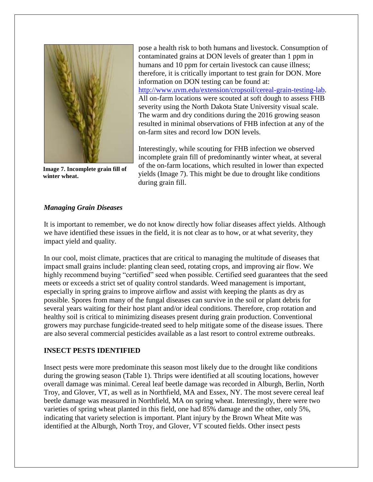

**Image 7. Incomplete grain fill of winter wheat.**

pose a health risk to both humans and livestock. Consumption of contaminated grains at DON levels of greater than 1 ppm in humans and 10 ppm for certain livestock can cause illness; therefore, it is critically important to test grain for DON. More information on DON testing can be found at: [http://www.uvm.edu/extension/cropsoil/cereal-grain-testing-lab.](http://www.uvm.edu/extension/cropsoil/cereal-grain-testing-lab) All on-farm locations were scouted at soft dough to assess FHB severity using the North Dakota State University visual scale. The warm and dry conditions during the 2016 growing season resulted in minimal observations of FHB infection at any of the on-farm sites and record low DON levels.

Interestingly, while scouting for FHB infection we observed incomplete grain fill of predominantly winter wheat, at several of the on-farm locations, which resulted in lower than expected yields (Image 7). This might be due to drought like conditions during grain fill.

### *Managing Grain Diseases*

It is important to remember, we do not know directly how foliar diseases affect yields. Although we have identified these issues in the field, it is not clear as to how, or at what severity, they impact yield and quality.

In our cool, moist climate, practices that are critical to managing the multitude of diseases that impact small grains include: planting clean seed, rotating crops, and improving air flow. We highly recommend buying "certified" seed when possible. Certified seed guarantees that the seed meets or exceeds a strict set of quality control standards. Weed management is important, especially in spring grains to improve airflow and assist with keeping the plants as dry as possible. Spores from many of the fungal diseases can survive in the soil or plant debris for several years waiting for their host plant and/or ideal conditions. Therefore, crop rotation and healthy soil is critical to minimizing diseases present during grain production. Conventional growers may purchase fungicide-treated seed to help mitigate some of the disease issues. There are also several commercial pesticides available as a last resort to control extreme outbreaks.

#### **INSECT PESTS IDENTIFIED**

Insect pests were more predominate this season most likely due to the drought like conditions during the growing season (Table 1). Thrips were identified at all scouting locations, however overall damage was minimal. Cereal leaf beetle damage was recorded in Alburgh, Berlin, North Troy, and Glover, VT, as well as in Northfield, MA and Essex, NY. The most severe cereal leaf beetle damage was measured in Northfield, MA on spring wheat. Interestingly, there were two varieties of spring wheat planted in this field, one had 85% damage and the other, only 5%, indicating that variety selection is important. Plant injury by the Brown Wheat Mite was identified at the Alburgh, North Troy, and Glover, VT scouted fields. Other insect pests